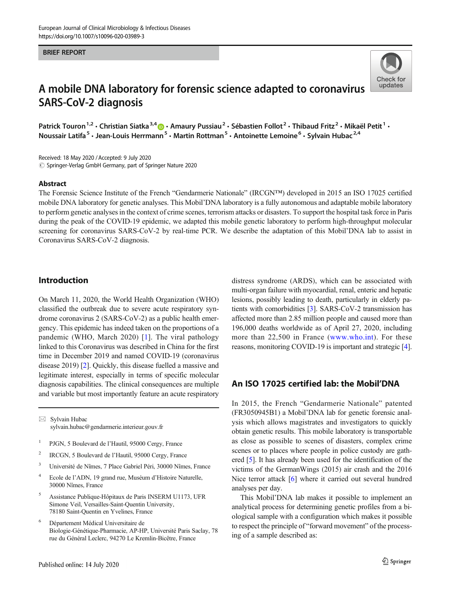#### BRIEF REPORT



# A mobile DNA laboratory for forensic science adapted to coronavirus SARS-CoV-2 diagnosis

Patrick Touron<sup>1,2</sup> • Christian Siatka<sup>3,4</sup>  $\bullet$  • Amaury Pussiau<sup>2</sup> • Sébastien Follot<sup>2</sup> • Thibaud Fritz<sup>2</sup> • Mikaël Petit<sup>1</sup> • Noussair Latifa<sup>5</sup> · Jean-Louis Herrmann<sup>5</sup> · Martin Rottman<sup>5</sup> · Antoinette Lemoine<sup>6</sup> · Sylvain Hubac<sup>2,4</sup>

Received: 18 May 2020 / Accepted: 9 July 2020  $\odot$  Springer-Verlag GmbH Germany, part of Springer Nature 2020

#### Abstract

The Forensic Science Institute of the French "Gendarmerie Nationale" (IRCGN™) developed in 2015 an ISO 17025 certified mobile DNA laboratory for genetic analyses. This Mobil'DNA laboratory is a fully autonomous and adaptable mobile laboratory to perform genetic analyses in the context of crime scenes, terrorism attacks or disasters. To support the hospital task force in Paris during the peak of the COVID-19 epidemic, we adapted this mobile genetic laboratory to perform high-throughput molecular screening for coronavirus SARS-CoV-2 by real-time PCR. We describe the adaptation of this Mobil'DNA lab to assist in Coronavirus SARS-CoV-2 diagnosis.

## Introduction

On March 11, 2020, the World Health Organization (WHO) classified the outbreak due to severe acute respiratory syndrome coronavirus 2 (SARS-CoV-2) as a public health emergency. This epidemic has indeed taken on the proportions of a pandemic (WHO, March 2020) [[1\]](#page-3-0). The viral pathology linked to this Coronavirus was described in China for the first time in December 2019 and named COVID-19 (coronavirus disease 2019) [[2\]](#page-3-0). Quickly, this disease fuelled a massive and legitimate interest, especially in terms of specific molecular diagnosis capabilities. The clinical consequences are multiple and variable but most importantly feature an acute respiratory

 $\boxtimes$  Sylvain Hubac [sylvain.hubac@gendarmerie.interieur.gouv.fr](mailto:sylvain.hubac@gendarmerie.interieur.gouv.fr)

- <sup>1</sup> PJGN, 5 Boulevard de l'Hautil, 95000 Cergy, France
- <sup>2</sup> IRCGN, 5 Boulevard de l'Hautil, 95000 Cergy, France
- <sup>3</sup> Université de Nîmes, 7 Place Gabriel Péri, 30000 Nîmes, France
- <sup>4</sup> Ecole de l'ADN, 19 grand rue, Muséum d'Histoire Naturelle, 30000 Nîmes, France
- <sup>5</sup> Assistance Publique-Hôpitaux de Paris INSERM U1173, UFR Simone Veil, Versailles-Saint-Quentin University, 78180 Saint-Quentin en Yvelines, France
- <sup>6</sup> Département Médical Universitaire de Biologie-Génétique-Pharmacie, AP-HP, Université Paris Saclay, 78 rue du Général Leclerc, 94270 Le Kremlin-Bicêtre, France

distress syndrome (ARDS), which can be associated with multi-organ failure with myocardial, renal, enteric and hepatic lesions, possibly leading to death, particularly in elderly patients with comorbidities [\[3\]](#page-3-0). SARS-CoV-2 transmission has affected more than 2.85 million people and caused more than 196,000 deaths worldwide as of April 27, 2020, including more than 22,500 in France ([www.who.int\)](http://www.who.int). For these reasons, monitoring COVID-19 is important and strategic [[4\]](#page-3-0).

# An ISO 17025 certified lab: the Mobil'DNA

In 2015, the French "Gendarmerie Nationale" patented (FR3050945B1) a Mobil'DNA lab for genetic forensic analysis which allows magistrates and investigators to quickly obtain genetic results. This mobile laboratory is transportable as close as possible to scenes of disasters, complex crime scenes or to places where people in police custody are gathered [[5\]](#page-3-0). It has already been used for the identification of the victims of the GermanWings (2015) air crash and the 2016 Nice terror attack [\[6](#page-3-0)] where it carried out several hundred analyses per day.

This Mobil'DNA lab makes it possible to implement an analytical process for determining genetic profiles from a biological sample with a configuration which makes it possible to respect the principle of "forward movement" of the processing of a sample described as: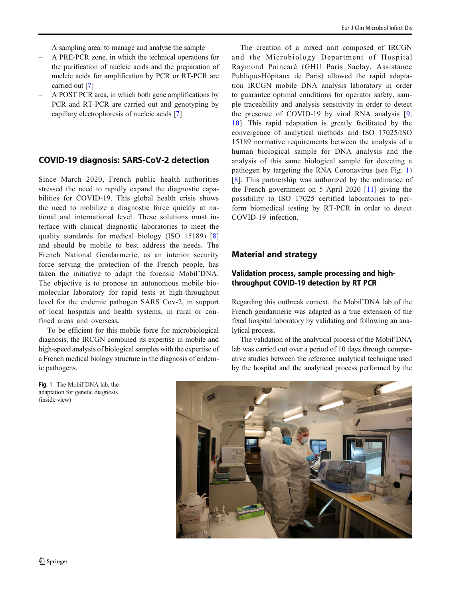- A PRE-PCR zone, in which the technical operations for the purification of nucleic acids and the preparation of nucleic acids for amplification by PCR or RT-PCR are carried out [[7\]](#page-3-0)
- A POST PCR area, in which both gene amplifications by PCR and RT-PCR are carried out and genotyping by capillary electrophoresis of nucleic acids [\[7](#page-3-0)]

# COVID-19 diagnosis: SARS-CoV-2 detection

Since March 2020, French public health authorities stressed the need to rapidly expand the diagnostic capabilities for COVID-19. This global health crisis shows the need to mobilize a diagnostic force quickly at national and international level. These solutions must interface with clinical diagnostic laboratories to meet the quality standards for medical biology (ISO 15189) [[8\]](#page-3-0) and should be mobile to best address the needs. The French National Gendarmerie, as an interior security force serving the protection of the French people, has taken the initiative to adapt the forensic Mobil'DNA. The objective is to propose an autonomous mobile biomolecular laboratory for rapid tests at high-throughput level for the endemic pathogen SARS Cov-2, in support of local hospitals and health systems, in rural or confined areas and overseas.

To be efficient for this mobile force for microbiological diagnosis, the IRCGN combined its expertise in mobile and high-speed analysis of biological samples with the expertise of a French medical biology structure in the diagnosis of endemic pathogens.

Fig. 1 The Mobil'DNA lab, the adaptation for genetic diagnosis (inside view)

The creation of a mixed unit composed of IRCGN and the Microbiology Department of Hospital Raymond Poincaré (GHU Paris Saclay, Assistance Publique-Hôpitaux de Paris) allowed the rapid adaptation IRCGN mobile DNA analysis laboratory in order to guarantee optimal conditions for operator safety, sample traceability and analysis sensitivity in order to detect the presence of COVID-19 by viral RNA analysis [[9,](#page-3-0) [10](#page-3-0)]. This rapid adaptation is greatly facilitated by the convergence of analytical methods and ISO 17025/ISO 15189 normative requirements between the analysis of a human biological sample for DNA analysis and the analysis of this same biological sample for detecting a pathogen by targeting the RNA Coronavirus (see Fig. 1) [\[8\]](#page-3-0). This partnership was authorized by the ordinance of the French government on 5 April 2020 [\[11](#page-3-0)] giving the possibility to ISO 17025 certified laboratories to perform biomedical testing by RT-PCR in order to detect COVID-19 infection.

# Material and strategy

## Validation process, sample processing and highthroughput COVID-19 detection by RT PCR

Regarding this outbreak context, the Mobil'DNA lab of the French gendarmerie was adapted as a true extension of the fixed hospital laboratory by validating and following an analytical process.

The validation of the analytical process of the Mobil'DNA lab was carried out over a period of 10 days through comparative studies between the reference analytical technique used by the hospital and the analytical process performed by the

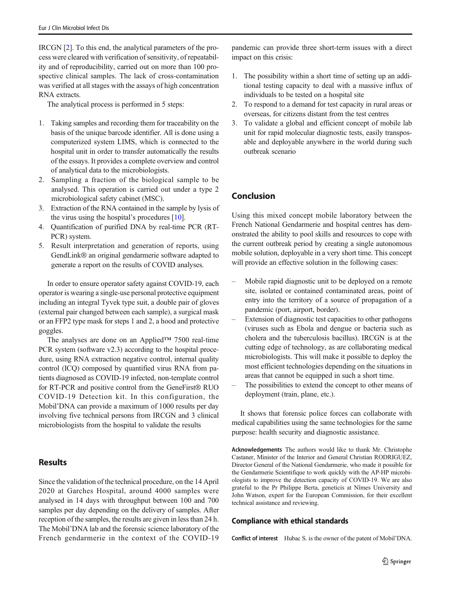IRCGN [\[2](#page-3-0)]. To this end, the analytical parameters of the process were cleared with verification of sensitivity, of repeatability and of reproducibility, carried out on more than 100 prospective clinical samples. The lack of cross-contamination was verified at all stages with the assays of high concentration RNA extracts.

The analytical process is performed in 5 steps:

- 1. Taking samples and recording them for traceability on the basis of the unique barcode identifier. All is done using a computerized system LIMS, which is connected to the hospital unit in order to transfer automatically the results of the essays. It provides a complete overview and control of analytical data to the microbiologists.
- 2. Sampling a fraction of the biological sample to be analysed. This operation is carried out under a type 2 microbiological safety cabinet (MSC).
- 3. Extraction of the RNA contained in the sample by lysis of the virus using the hospital's procedures [\[10\]](#page-3-0).
- 4. Quantification of purified DNA by real-time PCR (RT-PCR) system.
- 5. Result interpretation and generation of reports, using GendLink® an original gendarmerie software adapted to generate a report on the results of COVID analyses.

In order to ensure operator safety against COVID-19, each operator is wearing a single-use personal protective equipment including an integral Tyvek type suit, a double pair of gloves (external pair changed between each sample), a surgical mask or an FFP2 type mask for steps 1 and 2, a hood and protective goggles.

The analyses are done on an Applied™ 7500 real-time PCR system (software v2.3) according to the hospital procedure, using RNA extraction negative control, internal quality control (ICQ) composed by quantified virus RNA from patients diagnosed as COVID-19 infected, non-template control for RT-PCR and positive control from the GeneFirst® RUO COVID-19 Detection kit. In this configuration, the Mobil'DNA can provide a maximum of 1000 results per day involving five technical persons from IRCGN and 3 clinical microbiologists from the hospital to validate the results

# **Results**

Since the validation of the technical procedure, on the 14 April 2020 at Garches Hospital, around 4000 samples were analysed in 14 days with throughput between 100 and 700 samples per day depending on the delivery of samples. After reception of the samples, the results are given in less than 24 h. The Mobil'DNA lab and the forensic science laboratory of the French gendarmerie in the context of the COVID-19

pandemic can provide three short-term issues with a direct impact on this crisis:

- 1. The possibility within a short time of setting up an additional testing capacity to deal with a massive influx of individuals to be tested on a hospital site
- 2. To respond to a demand for test capacity in rural areas or overseas, for citizens distant from the test centres
- 3. To validate a global and efficient concept of mobile lab unit for rapid molecular diagnostic tests, easily transposable and deployable anywhere in the world during such outbreak scenario

# Conclusion

Using this mixed concept mobile laboratory between the French National Gendarmerie and hospital centres has demonstrated the ability to pool skills and resources to cope with the current outbreak period by creating a single autonomous mobile solution, deployable in a very short time. This concept will provide an effective solution in the following cases:

- Mobile rapid diagnostic unit to be deployed on a remote site, isolated or contained contaminated areas, point of entry into the territory of a source of propagation of a pandemic (port, airport, border).
- Extension of diagnostic test capacities to other pathogens (viruses such as Ebola and dengue or bacteria such as cholera and the tuberculosis bacillus). IRCGN is at the cutting edge of technology, as are collaborating medical microbiologists. This will make it possible to deploy the most efficient technologies depending on the situations in areas that cannot be equipped in such a short time.
- The possibilities to extend the concept to other means of deployment (train, plane, etc.).

It shows that forensic police forces can collaborate with medical capabilities using the same technologies for the same purpose: health security and diagnostic assistance.

Acknowledgements The authors would like to thank Mr. Christophe Castaner, Minister of the Interior and General Christian RODRIGUEZ, Director General of the National Gendarmerie, who made it possible for the Gendarmerie Scientifique to work quickly with the AP-HP microbiologists to improve the detection capacity of COVID-19. We are also grateful to the Pr Philippe Berta, geneticis at Nîmes University and John Watson, expert for the European Commission, for their excellent technical assistance and reviewing.

### Compliance with ethical standards

Conflict of interest Hubac S. is the owner of the patent of Mobil'DNA.